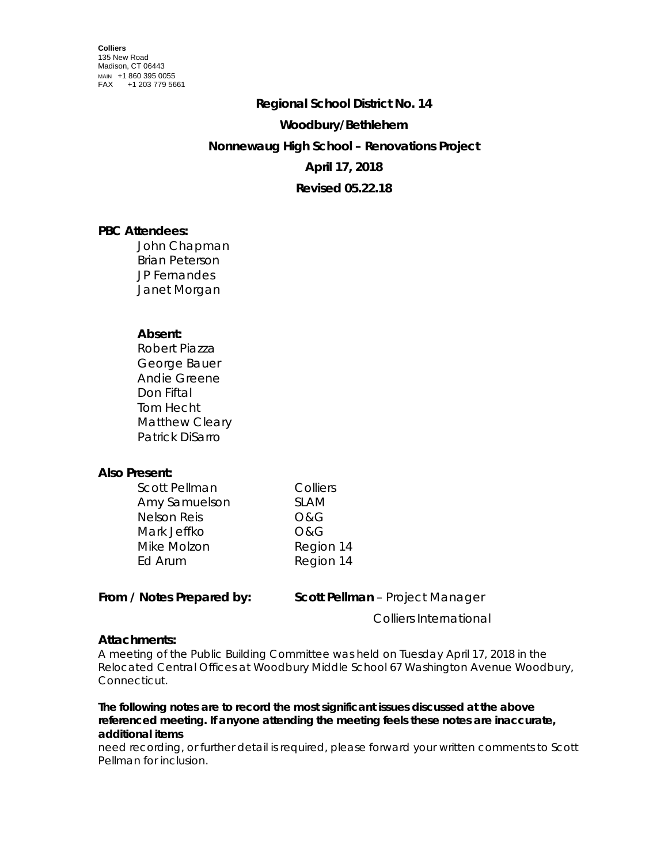# **Regional School District No. 14 Woodbury/Bethlehem Nonnewaug High School – Renovations Project April 17, 2018 Revised 05.22.18**

## **PBC Attendees:**

John Chapman Brian Peterson JP Fernandes Janet Morgan

## **Absent:**

Robert Piazza George Bauer Andie Greene Don Fiftal Tom Hecht Matthew Cleary Patrick DiSarro

## **Also Present:**

| Colliers       |
|----------------|
| <b>SLAM</b>    |
| <b>O&amp;G</b> |
| <b>O&amp;G</b> |
| Region 14      |
| Region 14      |
|                |

**From / Notes Prepared by: Scott Pellman** – Project Manager

Colliers International

## **Attachments:**

A meeting of the Public Building Committee was held on Tuesday April 17, 2018 in the Relocated Central Offices at Woodbury Middle School 67 Washington Avenue Woodbury, Connecticut.

#### *The following notes are to record the most significant issues discussed at the above referenced meeting. If anyone attending the meeting feels these notes are inaccurate, additional items*

need recording, or further detail is required, please forward your written comments to Scott Pellman for inclusion.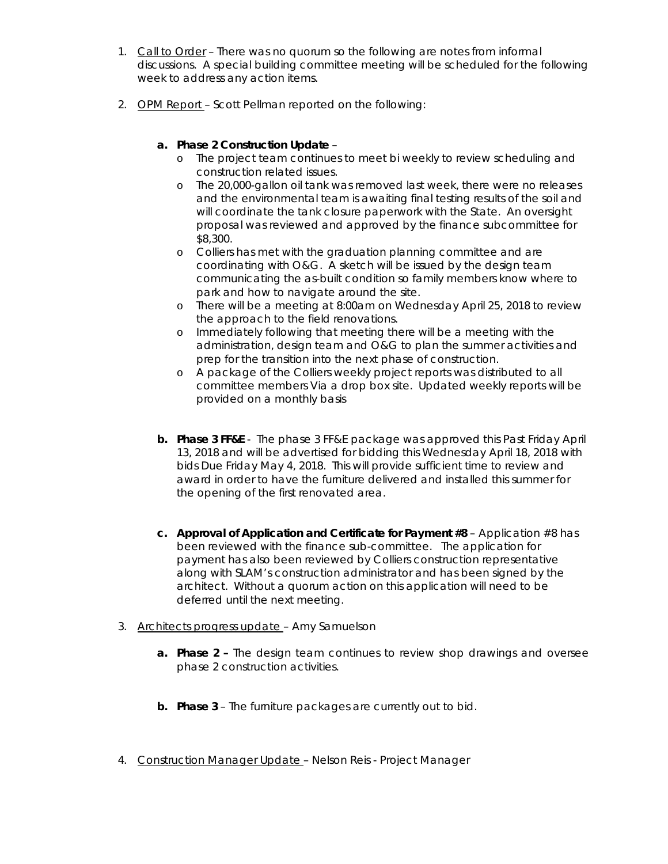- 1. Call to Order There was no quorum so the following are notes from informal discussions. A special building committee meeting will be scheduled for the following week to address any action items.
- 2. OPM Report Scott Pellman reported on the following:

#### **a. Phase 2 Construction Update** –

- o The project team continues to meet bi weekly to review scheduling and construction related issues.
- o The 20,000-gallon oil tank was removed last week, there were no releases and the environmental team is awaiting final testing results of the soil and will coordinate the tank closure paperwork with the State. An oversight proposal was reviewed and approved by the finance subcommittee for \$8,300.
- o Colliers has met with the graduation planning committee and are coordinating with O&G. A sketch will be issued by the design team communicating the as-built condition so family members know where to park and how to navigate around the site.
- o There will be a meeting at 8:00am on Wednesday April 25, 2018 to review the approach to the field renovations.
- o Immediately following that meeting there will be a meeting with the administration, design team and O&G to plan the summer activities and prep for the transition into the next phase of construction.
- o A package of the Colliers weekly project reports was distributed to all committee members Via a drop box site. Updated weekly reports will be provided on a monthly basis
- **b. Phase 3 FF&E**  The phase 3 FF&E package was approved this Past Friday April 13, 2018 and will be advertised for bidding this Wednesday April 18, 2018 with bids Due Friday May 4, 2018. This will provide sufficient time to review and award in order to have the furniture delivered and installed this summer for the opening of the first renovated area.
- **c. Approval of Application and Certificate for Payment #8** Application #8 has been reviewed with the finance sub-committee. The application for payment has also been reviewed by Colliers construction representative along with SLAM's construction administrator and has been signed by the architect. Without a quorum action on this application will need to be deferred until the next meeting.
- 3. Architects progress update Amy Samuelson
	- **a. Phase 2 –** The design team continues to review shop drawings and oversee phase 2 construction activities.
	- **b. Phase 3**  The furniture packages are currently out to bid.
- 4. Construction Manager Update Nelson Reis Project Manager